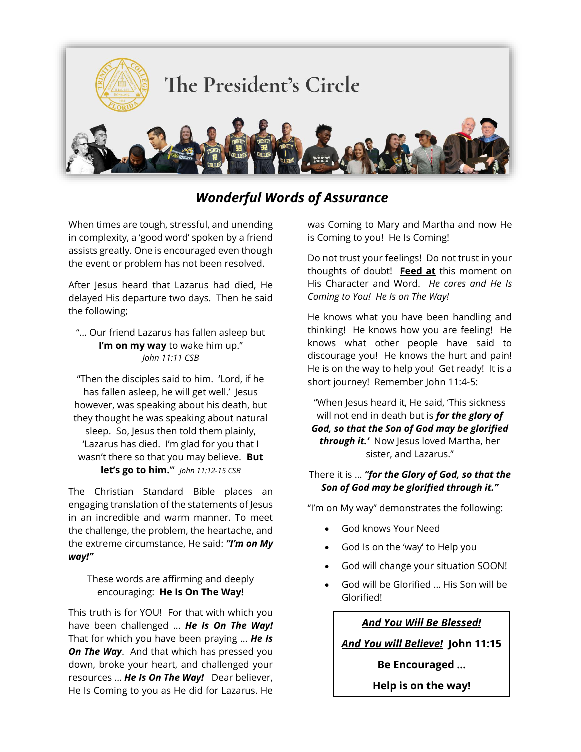

# *Wonderful Words of Assurance*

When times are tough, stressful, and unending in complexity, a 'good word' spoken by a friend assists greatly. One is encouraged even though the event or problem has not been resolved.

After Jesus heard that Lazarus had died, He delayed His departure two days. Then he said the following;

"… Our friend Lazarus has fallen asleep but **I'm on my way** to wake him up." *John 11:11 CSB*

"Then the disciples said to him. 'Lord, if he has fallen asleep, he will get well.' Jesus however, was speaking about his death, but they thought he was speaking about natural sleep. So, Jesus then told them plainly, 'Lazarus has died. I'm glad for you that I wasn't there so that you may believe. **But let's go to him.**'" *John 11:12-15 CSB*

The Christian Standard Bible places an engaging translation of the statements of Jesus in an incredible and warm manner. To meet the challenge, the problem, the heartache, and the extreme circumstance, He said: *"I'm on My way!"*

These words are affirming and deeply encouraging: **He Is On The Way!**

This truth is for YOU! For that with which you have been challenged … *He Is On The Way!* That for which you have been praying … *He Is On The Way*. And that which has pressed you down, broke your heart, and challenged your resources … *He Is On The Way!* Dear believer, He Is Coming to you as He did for Lazarus. He was Coming to Mary and Martha and now He is Coming to you! He Is Coming!

Do not trust your feelings! Do not trust in your thoughts of doubt! **Feed at** this moment on His Character and Word. *He cares and He Is Coming to You! He Is on The Way!*

He knows what you have been handling and thinking! He knows how you are feeling! He knows what other people have said to discourage you! He knows the hurt and pain! He is on the way to help you! Get ready! It is a short journey! Remember John 11:4-5:

"When Jesus heard it, He said, 'This sickness will not end in death but is *for the glory of God, so that the Son of God may be glorified through it.'* Now Jesus loved Martha, her sister, and Lazarus."

#### There it is … *"for the Glory of God, so that the Son of God may be glorified through it."*

"I'm on My way" demonstrates the following:

- God knows Your Need
- God Is on the 'way' to Help you
- God will change your situation SOON!
- God will be Glorified … His Son will be Glorified!

*And You Will Be Blessed!*

*And You will Believe!* **John 11:15**

**Be Encouraged …** 

**Help is on the way!**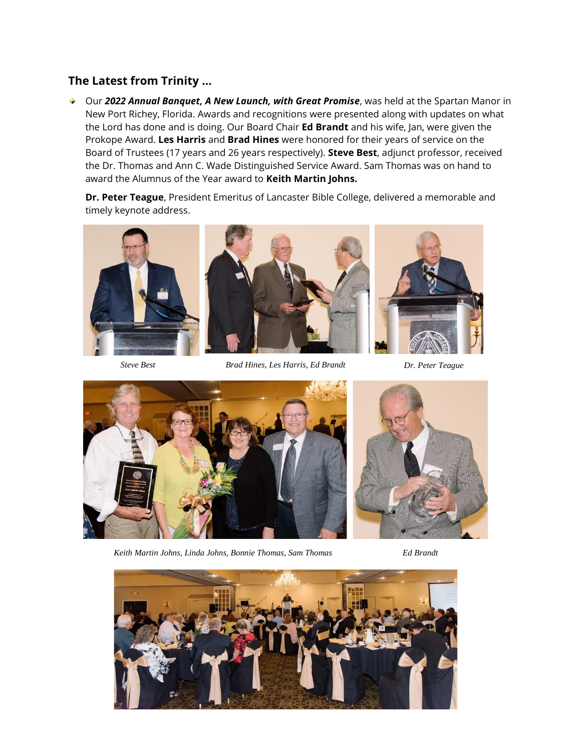## **The Latest from Trinity …**

◆ Our 2022 Annual Banquet, A New Launch, with Great Promise, was held at the Spartan Manor in New Port Richey, Florida. Awards and recognitions were presented along with updates on what the Lord has done and is doing. Our Board Chair **Ed Brandt** and his wife, Jan, were given the Prokope Award. **Les Harris** and **Brad Hines** were honored for their years of service on the Board of Trustees (17 years and 26 years respectively). **Steve Best**, adjunct professor, received the Dr. Thomas and Ann C. Wade Distinguished Service Award. Sam Thomas was on hand to award the Alumnus of the Year award to **Keith Martin Johns.**

**Dr. Peter Teague**, President Emeritus of Lancaster Bible College, delivered a memorable and timely keynote address.



*Steve Best Brad Hines, Les Harris, Ed Brandt Dr. Peter Teague*



*Keith Martin Johns, Linda Johns, Bonnie Thomas, Sam Thomas Ed Brandt*



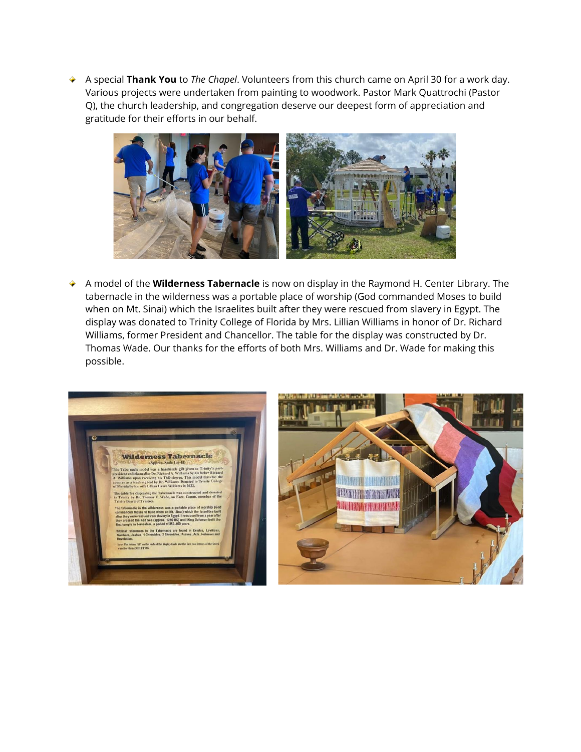A special **Thank You** to *The Chapel*. Volunteers from this church came on April 30 for a work day. ÷ Various projects were undertaken from painting to woodwork. Pastor Mark Quattrochi (Pastor Q), the church leadership, and congregation deserve our deepest form of appreciation and gratitude for their efforts in our behalf.



A model of the **Wilderness Tabernacle** is now on display in the Raymond H. Center Library. The tabernacle in the wilderness was a portable place of worship (God commanded Moses to build when on Mt. Sinai) which the Israelites built after they were rescued from slavery in Egypt. The display was donated to Trinity College of Florida by Mrs. Lillian Williams in honor of Dr. Richard Williams, former President and Chancellor. The table for the display was constructed by Dr. Thomas Wade. Our thanks for the efforts of both Mrs. Williams and Dr. Wade for making this possible.



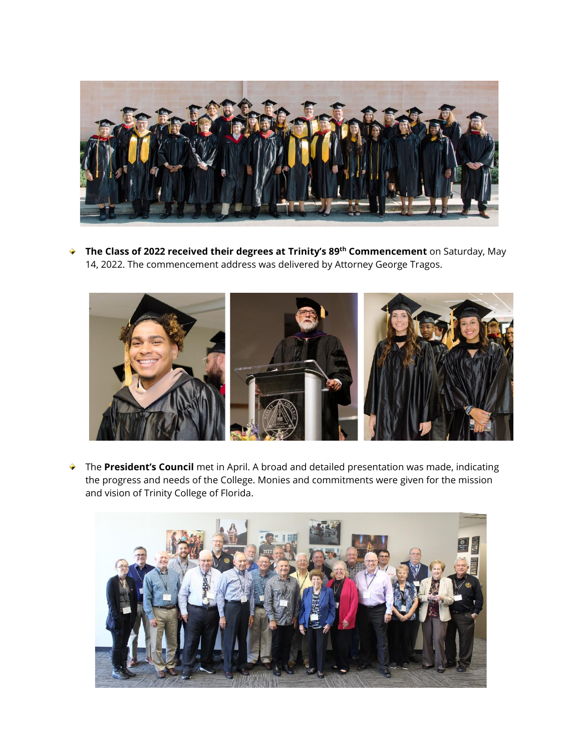

**The Class of 2022 received their degrees at Trinity's 89th Commencement** on Saturday, May 14, 2022. The commencement address was delivered by Attorney George Tragos.



The **President's Council** met in April. A broad and detailed presentation was made, indicating the progress and needs of the College. Monies and commitments were given for the mission and vision of Trinity College of Florida.